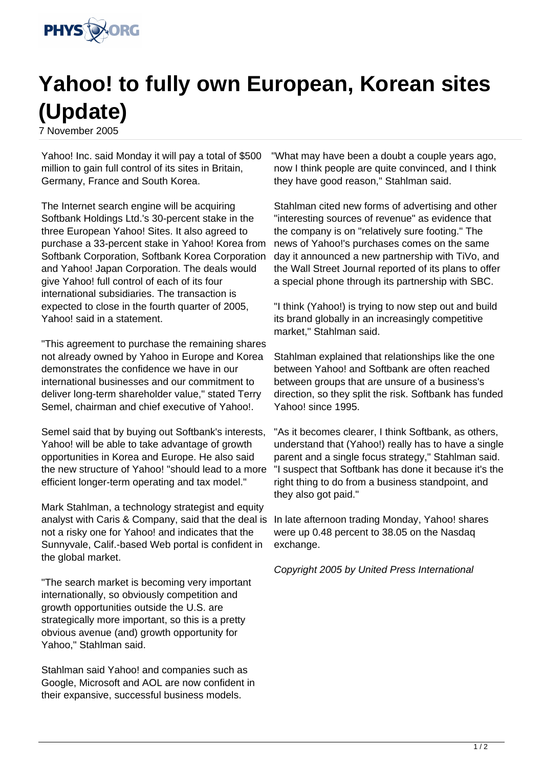

## **Yahoo! to fully own European, Korean sites (Update)**

7 November 2005

Yahoo! Inc. said Monday it will pay a total of \$500 million to gain full control of its sites in Britain, Germany, France and South Korea.

The Internet search engine will be acquiring Softbank Holdings Ltd.'s 30-percent stake in the three European Yahoo! Sites. It also agreed to purchase a 33-percent stake in Yahoo! Korea from Softbank Corporation, Softbank Korea Corporation and Yahoo! Japan Corporation. The deals would give Yahoo! full control of each of its four international subsidiaries. The transaction is expected to close in the fourth quarter of 2005, Yahoo! said in a statement.

"This agreement to purchase the remaining shares not already owned by Yahoo in Europe and Korea demonstrates the confidence we have in our international businesses and our commitment to deliver long-term shareholder value," stated Terry Semel, chairman and chief executive of Yahoo!.

Semel said that by buying out Softbank's interests, Yahoo! will be able to take advantage of growth opportunities in Korea and Europe. He also said the new structure of Yahoo! "should lead to a more efficient longer-term operating and tax model."

Mark Stahlman, a technology strategist and equity analyst with Caris & Company, said that the deal is not a risky one for Yahoo! and indicates that the Sunnyvale, Calif.-based Web portal is confident in the global market.

"The search market is becoming very important internationally, so obviously competition and growth opportunities outside the U.S. are strategically more important, so this is a pretty obvious avenue (and) growth opportunity for Yahoo," Stahlman said.

Stahlman said Yahoo! and companies such as Google, Microsoft and AOL are now confident in their expansive, successful business models.

"What may have been a doubt a couple years ago, now I think people are quite convinced, and I think they have good reason," Stahlman said.

Stahlman cited new forms of advertising and other "interesting sources of revenue" as evidence that the company is on "relatively sure footing." The news of Yahoo!'s purchases comes on the same day it announced a new partnership with TiVo, and the Wall Street Journal reported of its plans to offer a special phone through its partnership with SBC.

"I think (Yahoo!) is trying to now step out and build its brand globally in an increasingly competitive market," Stahlman said.

Stahlman explained that relationships like the one between Yahoo! and Softbank are often reached between groups that are unsure of a business's direction, so they split the risk. Softbank has funded Yahoo! since 1995.

"As it becomes clearer, I think Softbank, as others, understand that (Yahoo!) really has to have a single parent and a single focus strategy," Stahlman said. "I suspect that Softbank has done it because it's the right thing to do from a business standpoint, and they also got paid."

In late afternoon trading Monday, Yahoo! shares were up 0.48 percent to 38.05 on the Nasdaq exchange.

Copyright 2005 by United Press International